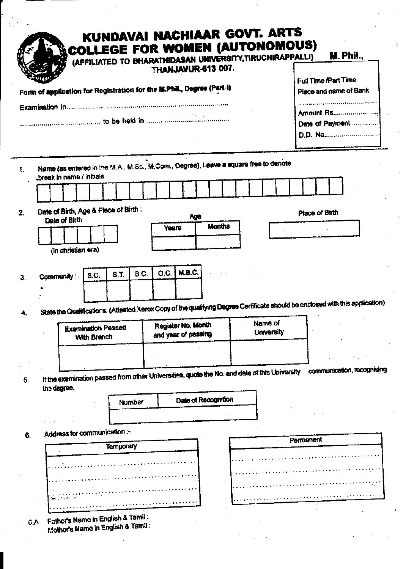| Form of application for Registration for the M.Phil., Degree (Part-i)                                                  |                                          |                  |        | <b>THANJAVUR-613 007.</b> |                                           |               |  | (AFFILIATED TO BHARATHIDASAN UNIVERSITY, TIRUCHIRAPPALLI) |           | Full Time /Part Time | <b>M. Phil.,</b><br>Place and name of Bank                                                                                    |
|------------------------------------------------------------------------------------------------------------------------|------------------------------------------|------------------|--------|---------------------------|-------------------------------------------|---------------|--|-----------------------------------------------------------|-----------|----------------------|-------------------------------------------------------------------------------------------------------------------------------|
|                                                                                                                        |                                          |                  |        |                           |                                           |               |  |                                                           |           |                      | <br>Date of Payment<br><b>D.D. No</b>                                                                                         |
| Name (as entered in the M.A., M.Sc., M.Com., Degree), Leave a square free to denote<br><b>Oreak in name / initials</b> |                                          |                  |        |                           |                                           |               |  |                                                           |           |                      |                                                                                                                               |
|                                                                                                                        |                                          |                  |        |                           |                                           |               |  |                                                           |           |                      |                                                                                                                               |
| Date of Birth, Age & Place of Birth:<br><b>Date of Birth</b>                                                           |                                          |                  |        |                           | Age                                       |               |  |                                                           |           | Place of Birth       |                                                                                                                               |
|                                                                                                                        |                                          |                  |        | Years                     |                                           | <b>Months</b> |  |                                                           |           |                      |                                                                                                                               |
| (in christian era)                                                                                                     |                                          |                  |        |                           |                                           |               |  |                                                           |           |                      |                                                                                                                               |
|                                                                                                                        |                                          |                  |        |                           |                                           |               |  |                                                           |           |                      |                                                                                                                               |
| Community:                                                                                                             | S.C.                                     | S.T.             | B.C.   | O.C.                      | M.B.C.                                    |               |  |                                                           |           |                      |                                                                                                                               |
|                                                                                                                        |                                          |                  |        |                           |                                           |               |  |                                                           |           |                      |                                                                                                                               |
|                                                                                                                        |                                          |                  |        |                           |                                           |               |  |                                                           |           |                      | State the Qualifications. (Attested Xerox Copy of the qualifying Degree Certificate should be enclosed with this application) |
|                                                                                                                        |                                          |                  |        |                           |                                           |               |  | Name of                                                   |           |                      |                                                                                                                               |
|                                                                                                                        | <b>Examination Passed</b><br>With Branch |                  |        |                           | Register No. Month<br>and year of passing |               |  | <b>University</b>                                         |           |                      |                                                                                                                               |
|                                                                                                                        |                                          |                  |        |                           |                                           |               |  |                                                           |           |                      |                                                                                                                               |
|                                                                                                                        |                                          |                  |        |                           |                                           |               |  |                                                           |           |                      |                                                                                                                               |
| If the examination passed from other Universities, quote the No. and date of this University                           |                                          |                  |        |                           |                                           |               |  |                                                           |           |                      | communication, recognising                                                                                                    |
|                                                                                                                        |                                          |                  |        |                           |                                           |               |  |                                                           |           |                      |                                                                                                                               |
| the degree.                                                                                                            |                                          |                  | Number |                           | Date of Recognition                       |               |  |                                                           |           |                      |                                                                                                                               |
|                                                                                                                        |                                          |                  |        |                           |                                           |               |  |                                                           |           |                      |                                                                                                                               |
|                                                                                                                        |                                          |                  |        |                           |                                           |               |  |                                                           |           |                      |                                                                                                                               |
|                                                                                                                        |                                          |                  |        |                           |                                           |               |  |                                                           |           |                      |                                                                                                                               |
| Address for communication :-                                                                                           |                                          |                  |        |                           |                                           |               |  |                                                           | Permanent |                      |                                                                                                                               |
|                                                                                                                        |                                          | <b>Temporary</b> |        |                           |                                           |               |  |                                                           |           |                      |                                                                                                                               |
|                                                                                                                        |                                          |                  |        |                           |                                           |               |  |                                                           |           |                      |                                                                                                                               |
|                                                                                                                        |                                          |                  |        |                           |                                           |               |  |                                                           |           |                      |                                                                                                                               |
|                                                                                                                        |                                          |                  |        |                           |                                           |               |  |                                                           |           |                      |                                                                                                                               |

ł.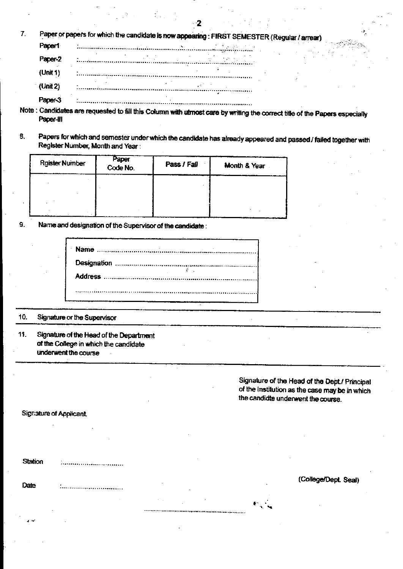|  |  | Paper or papers for which the candidate is now appearing : FIRST SEMESTER (Regular / arrear) |
|--|--|----------------------------------------------------------------------------------------------|
|  |  |                                                                                              |

| Paper-2  |                                             |
|----------|---------------------------------------------|
| (Unit 1) |                                             |
| (Unit 2) | $\sim$<br>,,,,,,,,,,,,,,,,,,,,,,,,,,,,,,,,, |
|          |                                             |

Note : Candidates are requested to fill this Column with utmost care by writing the correct title of the Papers especially Paper-III

 $-2$ 

Papers for which and semester under which the candidate has already appeared and passed / failed together with 8. Register Number, Month and Year:

| <b>Rgister Number</b> | Paper<br>Code No. | Pass / Fall | Month & Year |
|-----------------------|-------------------|-------------|--------------|
|                       |                   |             |              |
|                       |                   |             |              |

Name and designation of the Supervisor of the candidate: 9.

#### 10. Signature or the Supervisor

11. Signature of the Head of the Department of the College in which the candidate underwent the course

> Signature of the Head of the Dept./ Principal of the institution as the case may be in which the candidte underwent the course.

#### Signature of Applicant.

Date

**Station** .<br>..............................

(College/Dept. Seal)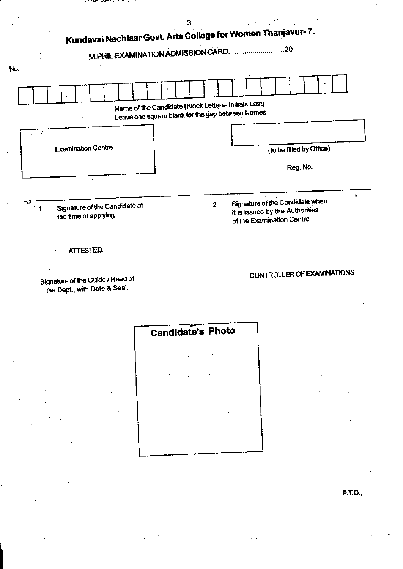

Signature of the Guide / Head of the Dept., with Date & Seal.

# CONTROLLER OF EXAMINATIONS

Candidate's Photo

**P.T.O.,**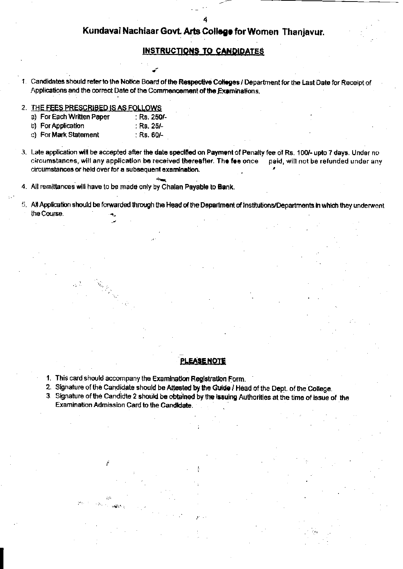#### **INSTRUCTIONS TO CANDIDATES**

Candidates should refer to the Notice Board of the Respective Colleges / Department for the Last Date for Receipt of Applications and the correct Date of the Commencement of the Examinations.

- 2. THE FEES PRESCRIBED IS AS FOLLOWS
	- a) For Each Written Paper : Rs. 250/-
	- b) For Application : Rs. 25/-
	- c) For Mark Statement : Rs. 60/-
- 3. Late application will be accepted after the date specified on Payment of Penalty fee of Rs. 100/- upto 7 days. Under no circumstances, will any application be received thereafter. The fee once paid, will not be refunded under any circumstances or held over for a subsequent examination.
- 4. All remittances will have to be made only by Chalan Payable to Bank.
- 5. All Application should be forwarded through the Head of the Department of Institutions/Departments in which they underwent the Course.

### **PLEASE NOTE**

- 1. This card should accompany the Examination Registration Form.
- 2. Signature of the Candidate should be Attested by the Guide / Head of the Dept. of the College.
- 3. Signature of the Candidte 2 should be obtained by the issuing Authorities at the time of issue of the Examination Admission Card to the Candidate.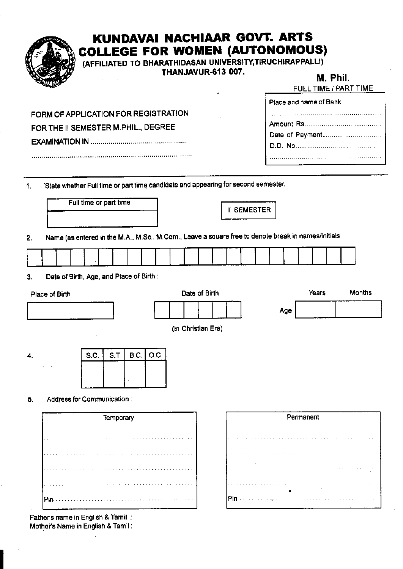|    |                                                                                                    |                        |      |           |             |     | THANJAVUR-613 007. |                    |  |                    |     |           |                        | M. Phil. | FULL TIME / PART TIME |
|----|----------------------------------------------------------------------------------------------------|------------------------|------|-----------|-------------|-----|--------------------|--------------------|--|--------------------|-----|-----------|------------------------|----------|-----------------------|
|    |                                                                                                    |                        |      |           |             |     |                    |                    |  |                    |     |           | Place and name of Bank |          |                       |
|    | FORM OF APPLICATION FOR REGISTRATION                                                               |                        |      |           |             |     |                    |                    |  |                    |     |           |                        |          |                       |
|    | FOR THE II SEMESTER M.PHIL., DEGREE                                                                |                        |      |           |             |     |                    |                    |  |                    |     |           |                        |          |                       |
|    |                                                                                                    |                        |      |           |             |     |                    |                    |  |                    |     |           |                        |          |                       |
|    |                                                                                                    |                        |      |           |             |     |                    |                    |  |                    |     |           |                        |          |                       |
| 1. | State whether Full time or part time candidate and appearing for second semester.                  |                        |      |           |             |     |                    |                    |  |                    |     |           |                        |          |                       |
|    |                                                                                                    |                        |      |           |             |     |                    |                    |  |                    |     |           |                        |          |                       |
|    |                                                                                                    | Full time or part time |      |           |             |     |                    |                    |  | <b>II SEMESTER</b> |     |           |                        |          |                       |
|    |                                                                                                    |                        |      |           |             |     |                    |                    |  |                    |     |           |                        |          |                       |
|    | Name (as entered in the M.A., M.Sc., M.Com., Leave a square free to denote break in names/initials |                        |      |           |             |     |                    |                    |  |                    |     |           |                        |          |                       |
|    |                                                                                                    |                        |      |           |             |     |                    |                    |  |                    |     |           |                        |          |                       |
|    | Date of Birth, Age, and Place of Birth:                                                            |                        |      |           |             |     |                    |                    |  |                    |     |           |                        |          |                       |
|    |                                                                                                    |                        |      |           |             |     |                    |                    |  |                    |     |           |                        |          |                       |
|    | Place of Birth                                                                                     |                        |      |           |             |     |                    | Date of Birth      |  |                    |     |           | Years                  |          | <b>Months</b>         |
|    |                                                                                                    |                        |      |           |             |     |                    |                    |  |                    | Age |           |                        |          |                       |
|    |                                                                                                    |                        |      |           |             |     |                    | (in Christian Era) |  |                    |     |           |                        |          |                       |
|    |                                                                                                    |                        |      |           |             |     |                    |                    |  |                    |     |           |                        |          |                       |
|    |                                                                                                    |                        | S.C. | S.T.      | <b>B.C.</b> | O.C |                    |                    |  |                    |     |           |                        |          |                       |
|    |                                                                                                    |                        |      |           |             |     |                    |                    |  |                    |     |           |                        |          |                       |
|    |                                                                                                    |                        |      |           |             |     |                    |                    |  |                    |     |           |                        |          |                       |
|    | Address for Communication:                                                                         |                        |      |           |             |     |                    |                    |  |                    |     |           |                        |          |                       |
|    |                                                                                                    |                        |      | Temporary |             |     |                    |                    |  |                    |     | Permanent |                        |          |                       |
|    |                                                                                                    |                        |      |           |             |     |                    |                    |  |                    |     |           |                        |          |                       |
|    |                                                                                                    |                        |      |           |             |     |                    |                    |  |                    |     |           |                        |          |                       |
|    |                                                                                                    |                        |      |           |             |     |                    |                    |  |                    |     |           |                        |          |                       |
|    |                                                                                                    |                        |      |           |             |     |                    |                    |  |                    |     |           |                        |          |                       |
|    |                                                                                                    |                        |      |           |             |     |                    |                    |  |                    |     |           |                        |          |                       |
|    |                                                                                                    |                        |      |           |             |     |                    |                    |  |                    |     |           |                        |          |                       |

Taran

 $\lambda$ 

 $\bar{z}$ 

Father's name in English & Tamil:<br>Mother's Name in English & Tamil:

 $\mathcal{L}$ 

 $\mathcal{A}_\mathrm{c}$ 

 $\bar{\beta}$ 

÷,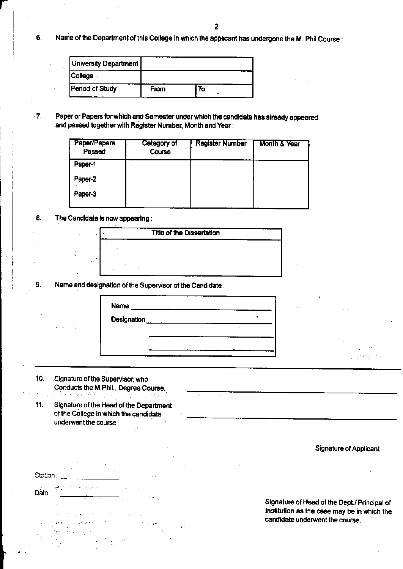Name of the Department of this College in which the applicant has undergone the M. Phil Course : 6.

| University Department  |      |    |  |
|------------------------|------|----|--|
| <b>College</b>         |      |    |  |
| <b>Period of Study</b> | From | To |  |

 $7.$ Paper or Papers for which and Semester under which the candidate has already appeared and passed together with Register Number, Month and Year:

| Paper/Papers<br>Passed | Category of<br>Course | <b>Register Number</b> | Month & Year |
|------------------------|-----------------------|------------------------|--------------|
| Paper-1                |                       |                        |              |
| Paper-2                |                       |                        |              |
| Paper-3                |                       |                        |              |

8. The Candidate is now appearing:

9.

 $\bar{z}$ 

**Station:** 

Date

 $\mathcal{L}_{\rm{max}} = 6.1$ 

| <b>Title of the Dissertation</b> |  |
|----------------------------------|--|
|                                  |  |
|                                  |  |
|                                  |  |

Name and designation of the Supervisor of the Candidate:

| Name        |  |
|-------------|--|
| Designation |  |
|             |  |
|             |  |

|       | $\sim$ 3.1             |                                                   |  |
|-------|------------------------|---------------------------------------------------|--|
| ter i | $\sim 80\,$ km $^{-1}$ | <b>Contractor</b>                                 |  |
|       |                        | <b>Contractor</b>                                 |  |
|       |                        | <b>Contractor</b><br>$\mathcal{F}(\mathcal{A})$ . |  |
|       |                        |                                                   |  |
|       |                        | ili (1989)<br>2. filmanin r                       |  |

 $10<sub>1</sub>$ Cignature of the Supervisor, who Conducts the M.Phil., Degree Course.

 $\sim 10^{11}$ 

 $\label{eq:2.1} \frac{1}{\sqrt{2}}\left(1-\frac{1}{2}\left(\rho\right)^2\right)-\frac{1}{2}\left(\rho\right)^2\left(\rho\right)^2\right)=0.$ 

 $\mathbf{w}$  and  $\mathbf{w} = \left\{ \left( \mathbf{z}_1, \cdots, \mathbf{z}_N \right) \right\}$ ang Liperan

 $11.$ Signature of the Head of the Department of the College in which the candidate underwent the course

**Signature of Applicant** 

Signature of Head of the Dept./ Principal of Institution as the case may be in which the candidate underwent the course.